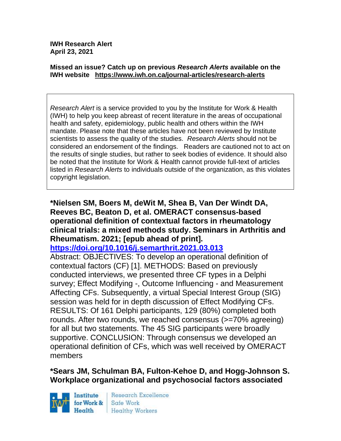**IWH Research Alert April 23, 2021**

#### **Missed an issue? Catch up on previous** *Research Alerts* **available on the [IWH website](http://www.iwh.on.ca/research-alerts) <https://www.iwh.on.ca/journal-articles/research-alerts>**

*Research Alert* is a service provided to you by the Institute for Work & Health (IWH) to help you keep abreast of recent literature in the areas of occupational health and safety, epidemiology, public health and others within the IWH mandate. Please note that these articles have not been reviewed by Institute scientists to assess the quality of the studies. *Research Alerts* should not be considered an endorsement of the findings. Readers are cautioned not to act on the results of single studies, but rather to seek bodies of evidence. It should also be noted that the Institute for Work & Health cannot provide full-text of articles listed in *Research Alerts* to individuals outside of the organization, as this violates copyright legislation.

#### **\*Nielsen SM, Boers M, deWit M, Shea B, Van Der Windt DA, Reeves BC, Beaton D, et al. OMERACT consensus-based operational definition of contextual factors in rheumatology clinical trials: a mixed methods study. Seminars in Arthritis and Rheumatism. 2021; [epub ahead of print].**

**<https://doi.org/10.1016/j.semarthrit.2021.03.013>** 

Abstract: OBJECTIVES: To develop an operational definition of contextual factors (CF) [1]. METHODS: Based on previously conducted interviews, we presented three CF types in a Delphi survey; Effect Modifying -, Outcome Influencing - and Measurement Affecting CFs. Subsequently, a virtual Special Interest Group (SIG) session was held for in depth discussion of Effect Modifying CFs. RESULTS: Of 161 Delphi participants, 129 (80%) completed both rounds. After two rounds, we reached consensus ( $>=70\%$  agreeing) for all but two statements. The 45 SIG participants were broadly supportive. CONCLUSION: Through consensus we developed an operational definition of CFs, which was well received by OMERACT members

### **\*Sears JM, Schulman BA, Fulton-Kehoe D, and Hogg-Johnson S. Workplace organizational and psychosocial factors associated**

Institute for Work & Health

Research Excellence Safe Work **Healthy Workers**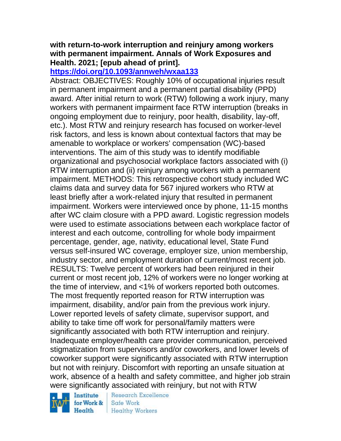### **with return-to-work interruption and reinjury among workers with permanent impairment. Annals of Work Exposures and Health. 2021; [epub ahead of print].**

#### **<https://doi.org/10.1093/annweh/wxaa133>**

Abstract: OBJECTIVES: Roughly 10% of occupational injuries result in permanent impairment and a permanent partial disability (PPD) award. After initial return to work (RTW) following a work injury, many workers with permanent impairment face RTW interruption (breaks in ongoing employment due to reinjury, poor health, disability, lay-off, etc.). Most RTW and reinjury research has focused on worker-level risk factors, and less is known about contextual factors that may be amenable to workplace or workers' compensation (WC)-based interventions. The aim of this study was to identify modifiable organizational and psychosocial workplace factors associated with (i) RTW interruption and (ii) reinjury among workers with a permanent impairment. METHODS: This retrospective cohort study included WC claims data and survey data for 567 injured workers who RTW at least briefly after a work-related injury that resulted in permanent impairment. Workers were interviewed once by phone, 11-15 months after WC claim closure with a PPD award. Logistic regression models were used to estimate associations between each workplace factor of interest and each outcome, controlling for whole body impairment percentage, gender, age, nativity, educational level, State Fund versus self-insured WC coverage, employer size, union membership, industry sector, and employment duration of current/most recent job. RESULTS: Twelve percent of workers had been reinjured in their current or most recent job, 12% of workers were no longer working at the time of interview, and <1% of workers reported both outcomes. The most frequently reported reason for RTW interruption was impairment, disability, and/or pain from the previous work injury. Lower reported levels of safety climate, supervisor support, and ability to take time off work for personal/family matters were significantly associated with both RTW interruption and reinjury. Inadequate employer/health care provider communication, perceived stigmatization from supervisors and/or coworkers, and lower levels of coworker support were significantly associated with RTW interruption but not with reinjury. Discomfort with reporting an unsafe situation at work, absence of a health and safety committee, and higher job strain were significantly associated with reinjury, but not with RTW

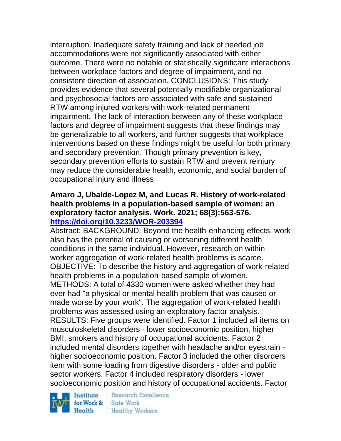interruption. Inadequate safety training and lack of needed job accommodations were not significantly associated with either outcome. There were no notable or statistically significant interactions between workplace factors and degree of impairment, and no consistent direction of association. CONCLUSIONS: This study provides evidence that several potentially modifiable organizational and psychosocial factors are associated with safe and sustained RTW among injured workers with work-related permanent impairment. The lack of interaction between any of these workplace factors and degree of impairment suggests that these findings may be generalizable to all workers, and further suggests that workplace interventions based on these findings might be useful for both primary and secondary prevention. Though primary prevention is key, secondary prevention efforts to sustain RTW and prevent reinjury may reduce the considerable health, economic, and social burden of occupational injury and illness

### **Amaro J, Ubalde-Lopez M, and Lucas R. History of work-related health problems in a population-based sample of women: an exploratory factor analysis. Work. 2021; 68(3):563-576. <https://doi.org/10.3233/WOR-203394>**

Abstract: BACKGROUND: Beyond the health-enhancing effects, work also has the potential of causing or worsening different health conditions in the same individual. However, research on withinworker aggregation of work-related health problems is scarce. OBJECTIVE: To describe the history and aggregation of work-related health problems in a population-based sample of women. METHODS: A total of 4330 women were asked whether they had ever had "a physical or mental health problem that was caused or

made worse by your work". The aggregation of work-related health problems was assessed using an exploratory factor analysis.

RESULTS: Five groups were identified. Factor 1 included all items on musculoskeletal disorders - lower socioeconomic position, higher BMI, smokers and history of occupational accidents. Factor 2 included mental disorders together with headache and/or eyestrain higher socioeconomic position. Factor 3 included the other disorders item with some loading from digestive disorders - older and public sector workers. Factor 4 included respiratory disorders - lower socioeconomic position and history of occupational accidents. Factor

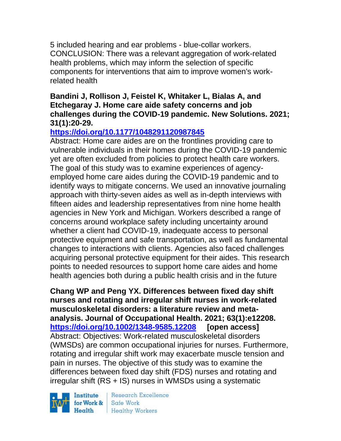5 included hearing and ear problems - blue-collar workers. CONCLUSION: There was a relevant aggregation of work-related health problems, which may inform the selection of specific components for interventions that aim to improve women's workrelated health

#### **Bandini J, Rollison J, Feistel K, Whitaker L, Bialas A, and Etchegaray J. Home care aide safety concerns and job challenges during the COVID-19 pandemic. New Solutions. 2021; 31(1):20-29.**

# **<https://doi.org/10.1177/1048291120987845>**

Abstract: Home care aides are on the frontlines providing care to vulnerable individuals in their homes during the COVID-19 pandemic yet are often excluded from policies to protect health care workers. The goal of this study was to examine experiences of agencyemployed home care aides during the COVID-19 pandemic and to identify ways to mitigate concerns. We used an innovative journaling approach with thirty-seven aides as well as in-depth interviews with fifteen aides and leadership representatives from nine home health agencies in New York and Michigan. Workers described a range of concerns around workplace safety including uncertainty around whether a client had COVID-19, inadequate access to personal protective equipment and safe transportation, as well as fundamental changes to interactions with clients. Agencies also faced challenges acquiring personal protective equipment for their aides. This research points to needed resources to support home care aides and home health agencies both during a public health crisis and in the future

**Chang WP and Peng YX. Differences between fixed day shift nurses and rotating and irregular shift nurses in work-related musculoskeletal disorders: a literature review and metaanalysis. Journal of Occupational Health. 2021; 63(1):e12208. <https://doi.org/10.1002/1348-9585.12208> [open access]** Abstract: Objectives: Work-related musculoskeletal disorders (WMSDs) are common occupational injuries for nurses. Furthermore, rotating and irregular shift work may exacerbate muscle tension and pain in nurses. The objective of this study was to examine the differences between fixed day shift (FDS) nurses and rotating and irregular shift (RS + IS) nurses in WMSDs using a systematic

Institute Health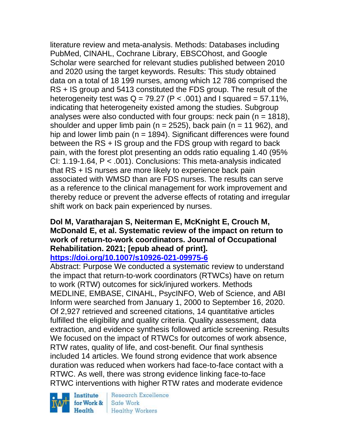literature review and meta-analysis. Methods: Databases including PubMed, CINAHL, Cochrane Library, EBSCOhost, and Google Scholar were searched for relevant studies published between 2010 and 2020 using the target keywords. Results: This study obtained data on a total of 18 199 nurses, among which 12 786 comprised the RS + IS group and 5413 constituted the FDS group. The result of the heterogeneity test was  $Q = 79.27$  (P < .001) and I squared = 57.11%, indicating that heterogeneity existed among the studies. Subgroup analyses were also conducted with four groups: neck pain ( $n = 1818$ ), shoulder and upper limb pain ( $n = 2525$ ), back pain ( $n = 11,962$ ), and hip and lower limb pain ( $n = 1894$ ). Significant differences were found between the RS + IS group and the FDS group with regard to back pain, with the forest plot presenting an odds ratio equaling 1.40 (95% CI: 1.19-1.64, P < .001). Conclusions: This meta-analysis indicated that RS + IS nurses are more likely to experience back pain associated with WMSD than are FDS nurses. The results can serve as a reference to the clinical management for work improvement and thereby reduce or prevent the adverse effects of rotating and irregular shift work on back pain experienced by nurses.

#### **Dol M, Varatharajan S, Neiterman E, McKnight E, Crouch M, McDonald E, et al. Systematic review of the impact on return to work of return-to-work coordinators. Journal of Occupational Rehabilitation. 2021; [epub ahead of print]. <https://doi.org/10.1007/s10926-021-09975-6>**

Abstract: Purpose We conducted a systematic review to understand the impact that return-to-work coordinators (RTWCs) have on return to work (RTW) outcomes for sick/injured workers. Methods MEDLINE, EMBASE, CINAHL, PsycINFO, Web of Science, and ABI Inform were searched from January 1, 2000 to September 16, 2020. Of 2,927 retrieved and screened citations, 14 quantitative articles fulfilled the eligibility and quality criteria. Quality assessment, data extraction, and evidence synthesis followed article screening. Results We focused on the impact of RTWCs for outcomes of work absence, RTW rates, quality of life, and cost-benefit. Our final synthesis included 14 articles. We found strong evidence that work absence duration was reduced when workers had face-to-face contact with a RTWC. As well, there was strong evidence linking face-to-face RTWC interventions with higher RTW rates and moderate evidence

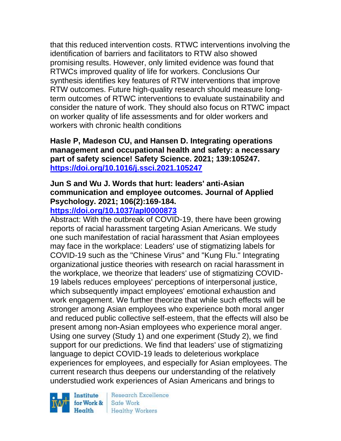that this reduced intervention costs. RTWC interventions involving the identification of barriers and facilitators to RTW also showed promising results. However, only limited evidence was found that RTWCs improved quality of life for workers. Conclusions Our synthesis identifies key features of RTW interventions that improve RTW outcomes. Future high-quality research should measure longterm outcomes of RTWC interventions to evaluate sustainability and consider the nature of work. They should also focus on RTWC impact on worker quality of life assessments and for older workers and workers with chronic health conditions

**Hasle P, Madeson CU, and Hansen D. Integrating operations management and occupational health and safety: a necessary part of safety science! Safety Science. 2021; 139:105247. <https://doi.org/10.1016/j.ssci.2021.105247>** 

# **Jun S and Wu J. Words that hurt: leaders' anti-Asian communication and employee outcomes. Journal of Applied Psychology. 2021; 106(2):169-184.**

### **<https://doi.org/10.1037/apl0000873>**

Abstract: With the outbreak of COVID-19, there have been growing reports of racial harassment targeting Asian Americans. We study one such manifestation of racial harassment that Asian employees may face in the workplace: Leaders' use of stigmatizing labels for COVID-19 such as the "Chinese Virus" and "Kung Flu." Integrating organizational justice theories with research on racial harassment in the workplace, we theorize that leaders' use of stigmatizing COVID-19 labels reduces employees' perceptions of interpersonal justice, which subsequently impact employees' emotional exhaustion and work engagement. We further theorize that while such effects will be stronger among Asian employees who experience both moral anger and reduced public collective self-esteem, that the effects will also be present among non-Asian employees who experience moral anger. Using one survey (Study 1) and one experiment (Study 2), we find support for our predictions. We find that leaders' use of stigmatizing language to depict COVID-19 leads to deleterious workplace experiences for employees, and especially for Asian employees. The current research thus deepens our understanding of the relatively understudied work experiences of Asian Americans and brings to

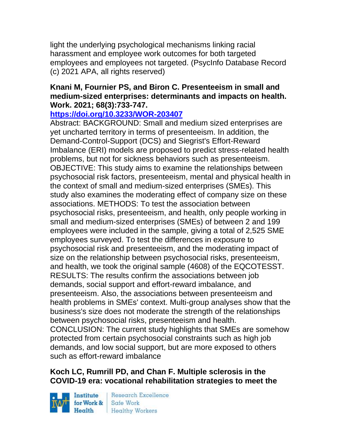light the underlying psychological mechanisms linking racial harassment and employee work outcomes for both targeted employees and employees not targeted. (PsycInfo Database Record (c) 2021 APA, all rights reserved)

### **Knani M, Fournier PS, and Biron C. Presenteeism in small and medium-sized enterprises: determinants and impacts on health. Work. 2021; 68(3):733-747.**

#### **<https://doi.org/10.3233/WOR-203407>**

Abstract: BACKGROUND: Small and medium sized enterprises are yet uncharted territory in terms of presenteeism. In addition, the Demand-Control-Support (DCS) and Siegrist's Effort-Reward Imbalance (ERI) models are proposed to predict stress-related health problems, but not for sickness behaviors such as presenteeism. OBJECTIVE: This study aims to examine the relationships between psychosocial risk factors, presenteeism, mental and physical health in the context of small and medium-sized enterprises (SMEs). This study also examines the moderating effect of company size on these associations. METHODS: To test the association between psychosocial risks, presenteeism, and health, only people working in small and medium-sized enterprises (SMEs) of between 2 and 199 employees were included in the sample, giving a total of 2,525 SME employees surveyed. To test the differences in exposure to psychosocial risk and presenteeism, and the moderating impact of size on the relationship between psychosocial risks, presenteeism, and health, we took the original sample (4608) of the EQCOTESST. RESULTS: The results confirm the associations between job demands, social support and effort-reward imbalance, and presenteeism. Also, the associations between presenteeism and health problems in SMEs' context. Multi-group analyses show that the business's size does not moderate the strength of the relationships between psychosocial risks, presenteeism and health. CONCLUSION: The current study highlights that SMEs are somehow protected from certain psychosocial constraints such as high job demands, and low social support, but are more exposed to others such as effort-reward imbalance

### **Koch LC, Rumrill PD, and Chan F. Multiple sclerosis in the COVID-19 era: vocational rehabilitation strategies to meet the**

Institute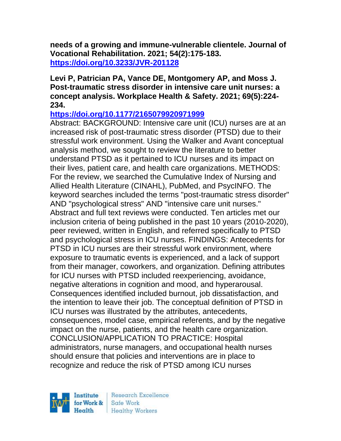**needs of a growing and immune-vulnerable clientele. Journal of Vocational Rehabilitation. 2021; 54(2):175-183. <https://doi.org/10.3233/JVR-201128>** 

#### **Levi P, Patrician PA, Vance DE, Montgomery AP, and Moss J. Post-traumatic stress disorder in intensive care unit nurses: a concept analysis. Workplace Health & Safety. 2021; 69(5):224- 234.**

#### **<https://doi.org/10.1177/2165079920971999>**

Abstract: BACKGROUND: Intensive care unit (ICU) nurses are at an increased risk of post-traumatic stress disorder (PTSD) due to their stressful work environment. Using the Walker and Avant conceptual analysis method, we sought to review the literature to better understand PTSD as it pertained to ICU nurses and its impact on their lives, patient care, and health care organizations. METHODS: For the review, we searched the Cumulative Index of Nursing and Allied Health Literature (CINAHL), PubMed, and PsycINFO. The keyword searches included the terms "post-traumatic stress disorder" AND "psychological stress" AND "intensive care unit nurses." Abstract and full text reviews were conducted. Ten articles met our inclusion criteria of being published in the past 10 years (2010-2020), peer reviewed, written in English, and referred specifically to PTSD and psychological stress in ICU nurses. FINDINGS: Antecedents for PTSD in ICU nurses are their stressful work environment, where exposure to traumatic events is experienced, and a lack of support from their manager, coworkers, and organization. Defining attributes for ICU nurses with PTSD included reexperiencing, avoidance, negative alterations in cognition and mood, and hyperarousal. Consequences identified included burnout, job dissatisfaction, and the intention to leave their job. The conceptual definition of PTSD in ICU nurses was illustrated by the attributes, antecedents, consequences, model case, empirical referents, and by the negative impact on the nurse, patients, and the health care organization. CONCLUSION/APPLICATION TO PRACTICE: Hospital administrators, nurse managers, and occupational health nurses should ensure that policies and interventions are in place to recognize and reduce the risk of PTSD among ICU nurses

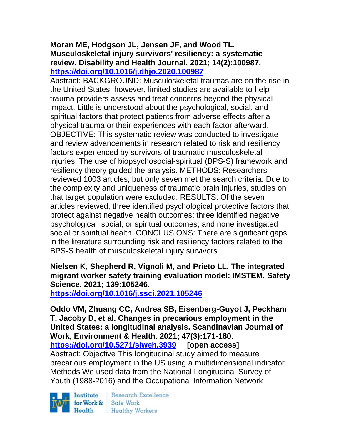#### **Moran ME, Hodgson JL, Jensen JF, and Wood TL. Musculoskeletal injury survivors' resiliency: a systematic review. Disability and Health Journal. 2021; 14(2):100987. <https://doi.org/10.1016/j.dhjo.2020.100987>**

Abstract: BACKGROUND: Musculoskeletal traumas are on the rise in the United States; however, limited studies are available to help trauma providers assess and treat concerns beyond the physical impact. Little is understood about the psychological, social, and spiritual factors that protect patients from adverse effects after a physical trauma or their experiences with each factor afterward. OBJECTIVE: This systematic review was conducted to investigate and review advancements in research related to risk and resiliency factors experienced by survivors of traumatic musculoskeletal injuries. The use of biopsychosocial-spiritual (BPS-S) framework and resiliency theory guided the analysis. METHODS: Researchers reviewed 1003 articles, but only seven met the search criteria. Due to the complexity and uniqueness of traumatic brain injuries, studies on that target population were excluded. RESULTS: Of the seven articles reviewed, three identified psychological protective factors that protect against negative health outcomes; three identified negative psychological, social, or spiritual outcomes; and none investigated social or spiritual health. CONCLUSIONS: There are significant gaps in the literature surrounding risk and resiliency factors related to the BPS-S health of musculoskeletal injury survivors

### **Nielsen K, Shepherd R, Vignoli M, and Prieto LL. The integrated migrant worker safety training evaluation model: IMSTEM. Safety Science. 2021; 139:105246.**

**<https://doi.org/10.1016/j.ssci.2021.105246>** 

**Oddo VM, Zhuang CC, Andrea SB, Eisenberg-Guyot J, Peckham T, Jacoby D, et al. Changes in precarious employment in the United States: a longitudinal analysis. Scandinavian Journal of Work, Environment & Health. 2021; 47(3):171-180. <https://doi.org/10.5271/sjweh.3939> [open access]** Abstract: Objective This longitudinal study aimed to measure precarious employment in the US using a multidimensional indicator. Methods We used data from the National Longitudinal Survey of Youth (1988-2016) and the Occupational Information Network

Institute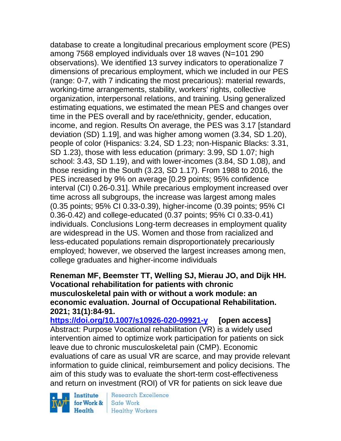database to create a longitudinal precarious employment score (PES) among 7568 employed individuals over 18 waves (N=101 290 observations). We identified 13 survey indicators to operationalize 7 dimensions of precarious employment, which we included in our PES (range: 0-7, with 7 indicating the most precarious): material rewards, working-time arrangements, stability, workers' rights, collective organization, interpersonal relations, and training. Using generalized estimating equations, we estimated the mean PES and changes over time in the PES overall and by race/ethnicity, gender, education, income, and region. Results On average, the PES was 3.17 [standard deviation (SD) 1.19], and was higher among women (3.34, SD 1.20), people of color (Hispanics: 3.24, SD 1.23; non-Hispanic Blacks: 3.31, SD 1.23), those with less education (primary: 3.99, SD 1.07; high school: 3.43, SD 1.19), and with lower-incomes (3.84, SD 1.08), and those residing in the South (3.23, SD 1.17). From 1988 to 2016, the PES increased by 9% on average [0.29 points; 95% confidence interval (CI) 0.26-0.31]. While precarious employment increased over time across all subgroups, the increase was largest among males (0.35 points; 95% CI 0.33-0.39), higher-income (0.39 points; 95% CI 0.36-0.42) and college-educated (0.37 points; 95% CI 0.33-0.41) individuals. Conclusions Long-term decreases in employment quality are widespread in the US. Women and those from racialized and less-educated populations remain disproportionately precariously employed; however, we observed the largest increases among men, college graduates and higher-income individuals

#### **Reneman MF, Beemster TT, Welling SJ, Mierau JO, and Dijk HH. Vocational rehabilitation for patients with chronic musculoskeletal pain with or without a work module: an economic evaluation. Journal of Occupational Rehabilitation. 2021; 31(1):84-91.**

**<https://doi.org/10.1007/s10926-020-09921-y> [open access]** Abstract: Purpose Vocational rehabilitation (VR) is a widely used intervention aimed to optimize work participation for patients on sick leave due to chronic musculoskeletal pain (CMP). Economic evaluations of care as usual VR are scarce, and may provide relevant information to guide clinical, reimbursement and policy decisions. The aim of this study was to evaluate the short-term cost-effectiveness and return on investment (ROI) of VR for patients on sick leave due

Institute for Work & Health

Research Excellence Safe Work **Healthy Workers**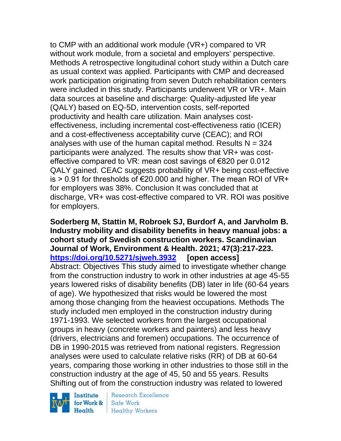to CMP with an additional work module (VR+) compared to VR without work module, from a societal and employers' perspective. Methods A retrospective longitudinal cohort study within a Dutch care as usual context was applied. Participants with CMP and decreased work participation originating from seven Dutch rehabilitation centers were included in this study. Participants underwent VR or VR+. Main data sources at baseline and discharge: Quality-adjusted life year (QALY) based on EQ-5D, intervention costs, self-reported productivity and health care utilization. Main analyses costeffectiveness, including incremental cost-effectiveness ratio (ICER) and a cost-effectiveness acceptability curve (CEAC); and ROI analyses with use of the human capital method. Results  $N = 324$ participants were analyzed. The results show that VR+ was costeffective compared to VR: mean cost savings of €820 per 0.012 QALY gained. CEAC suggests probability of VR+ being cost-effective is > 0.91 for thresholds of €20.000 and higher. The mean ROI of VR+ for employers was 38%. Conclusion It was concluded that at discharge, VR+ was cost-effective compared to VR. ROI was positive for employers.

# **Soderberg M, Stattin M, Robroek SJ, Burdorf A, and Jarvholm B. Industry mobility and disability benefits in heavy manual jobs: a cohort study of Swedish construction workers. Scandinavian Journal of Work, Environment & Health. 2021; 47(3):217-223. <https://doi.org/10.5271/sjweh.3932> [open access]**

Abstract: Objectives This study aimed to investigate whether change from the construction industry to work in other industries at age 45-55 years lowered risks of disability benefits (DB) later in life (60-64 years of age). We hypothesized that risks would be lowered the most among those changing from the heaviest occupations. Methods The study included men employed in the construction industry during 1971-1993. We selected workers from the largest occupational groups in heavy (concrete workers and painters) and less heavy (drivers, electricians and foremen) occupations. The occurrence of DB in 1990-2015 was retrieved from national registers. Regression analyses were used to calculate relative risks (RR) of DB at 60-64 years, comparing those working in other industries to those still in the construction industry at the age of 45, 50 and 55 years. Results Shifting out of from the construction industry was related to lowered



**Research Excellence** Safe Work **Healthy Workers**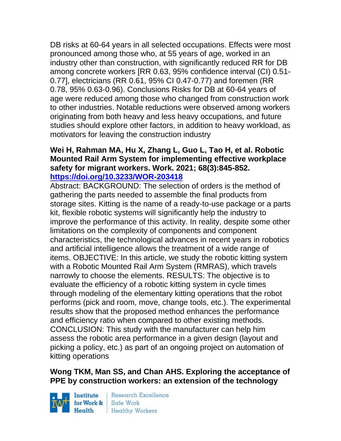DB risks at 60-64 years in all selected occupations. Effects were most pronounced among those who, at 55 years of age, worked in an industry other than construction, with significantly reduced RR for DB among concrete workers [RR 0.63, 95% confidence interval (CI) 0.51- 0.77], electricians (RR 0.61, 95% CI 0.47-0.77) and foremen (RR 0.78, 95% 0.63-0.96). Conclusions Risks for DB at 60-64 years of age were reduced among those who changed from construction work to other industries. Notable reductions were observed among workers originating from both heavy and less heavy occupations, and future studies should explore other factors, in addition to heavy workload, as motivators for leaving the construction industry

#### **Wei H, Rahman MA, Hu X, Zhang L, Guo L, Tao H, et al. Robotic Mounted Rail Arm System for implementing effective workplace safety for migrant workers. Work. 2021; 68(3):845-852. <https://doi.org/10.3233/WOR-203418>**

Abstract: BACKGROUND: The selection of orders is the method of gathering the parts needed to assemble the final products from storage sites. Kitting is the name of a ready-to-use package or a parts kit, flexible robotic systems will significantly help the industry to improve the performance of this activity. In reality, despite some other limitations on the complexity of components and component characteristics, the technological advances in recent years in robotics and artificial intelligence allows the treatment of a wide range of items. OBJECTIVE: In this article, we study the robotic kitting system with a Robotic Mounted Rail Arm System (RMRAS), which travels narrowly to choose the elements. RESULTS: The objective is to evaluate the efficiency of a robotic kitting system in cycle times through modeling of the elementary kitting operations that the robot performs (pick and room, move, change tools, etc.). The experimental results show that the proposed method enhances the performance and efficiency ratio when compared to other existing methods. CONCLUSION: This study with the manufacturer can help him assess the robotic area performance in a given design (layout and picking a policy, etc.) as part of an ongoing project on automation of kitting operations

### **Wong TKM, Man SS, and Chan AHS. Exploring the acceptance of PPE by construction workers: an extension of the technology**